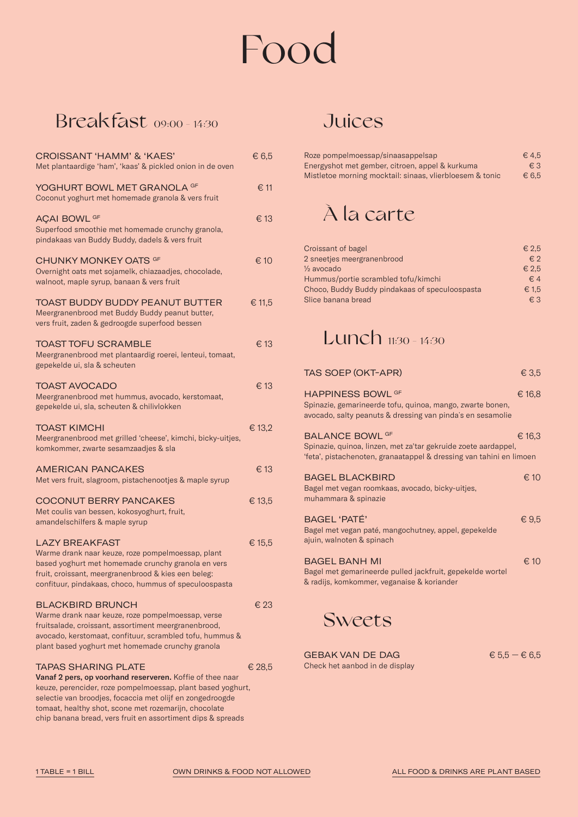# Food

## Breakfast 09:00 - 14:30

| <b>CROISSANT 'HAMM' &amp; 'KAES'</b><br>Met plantaardige 'ham', 'kaas' & pickled onion in de oven                                                                                                                                                                                                                                           | € 6,5  |
|---------------------------------------------------------------------------------------------------------------------------------------------------------------------------------------------------------------------------------------------------------------------------------------------------------------------------------------------|--------|
| YOGHURT BOWL MET GRANOLA <sup>GF</sup><br>Coconut yoghurt met homemade granola & vers fruit                                                                                                                                                                                                                                                 | € 11   |
| <b>AÇAI BOWL GF</b><br>Superfood smoothie met homemade crunchy granola,<br>pindakaas van Buddy Buddy, dadels & vers fruit                                                                                                                                                                                                                   | € 13   |
| CHUNKY MONKEY OATS GF<br>Overnight oats met sojamelk, chiazaadjes, chocolade,<br>walnoot, maple syrup, banaan & vers fruit                                                                                                                                                                                                                  | € 10   |
| TOAST BUDDY BUDDY PEANUT BUTTER<br>Meergranenbrood met Buddy Buddy peanut butter,<br>vers fruit, zaden & gedroogde superfood bessen                                                                                                                                                                                                         | € 11,5 |
| <b>TOAST TOFU SCRAMBLE</b><br>Meergranenbrood met plantaardig roerei, lenteui, tomaat,<br>gepekelde ui, sla & scheuten                                                                                                                                                                                                                      | € 13   |
| <b>TOAST AVOCADO</b><br>Meergranenbrood met hummus, avocado, kerstomaat,<br>gepekelde ui, sla, scheuten & chilivlokken                                                                                                                                                                                                                      | € 13   |
| <b>TOAST KIMCHI</b><br>Meergranenbrood met grilled 'cheese', kimchi, bicky-uitjes,<br>komkommer, zwarte sesamzaadjes & sla                                                                                                                                                                                                                  | € 13,2 |
| <b>AMERICAN PANCAKES</b><br>Met vers fruit, slagroom, pistachenootjes & maple syrup                                                                                                                                                                                                                                                         | € 13   |
| <b>COCONUT BERRY PANCAKES</b><br>Met coulis van bessen, kokosyoghurt, fruit,<br>amandelschilfers & maple syrup                                                                                                                                                                                                                              | € 13,5 |
| <b>LAZY BREAKFAST</b><br>Warme drank naar keuze, roze pompelmoessap, plant<br>based yoghurt met homemade crunchy granola en vers<br>fruit, croissant, meergranenbrood & kies een beleg:<br>confituur, pindakaas, choco, hummus of speculoospasta                                                                                            | € 15,5 |
| <b>BLACKBIRD BRUNCH</b><br>Warme drank naar keuze, roze pompelmoessap, verse<br>fruitsalade, croissant, assortiment meergranenbrood,<br>avocado, kerstomaat, confituur, scrambled tofu, hummus &<br>plant based yoghurt met homemade crunchy granola                                                                                        | € 23   |
| <b>TAPAS SHARING PLATE</b><br>Vanaf 2 pers, op voorhand reserveren. Koffie of thee naar<br>keuze, perencider, roze pompelmoessap, plant based yoghurt,<br>selectie van broodjes, focaccia met olijf en zongedroogde<br>tomaat, healthy shot, scone met rozemarijn, chocolate<br>chip banana bread, vers fruit en assortiment dips & spreads | € 28.5 |

### **Juices**

| Roze pompelmoessap/sinaasappelsap                        | $\epsilon$ 4.5 |
|----------------------------------------------------------|----------------|
| Energyshot met gember, citroen, appel & kurkuma          | $\epsilon$ 3   |
| Mistletoe morning mocktail: sinaas, vlierbloesem & tonic | $\epsilon$ 6.5 |

## À la carte

| Croissant of bagel                             | $\epsilon$ 2.5 |
|------------------------------------------------|----------------|
| 2 sneetjes meergranenbrood                     | $\epsilon$ 2   |
| 1/ <sub>2</sub> avocado                        | € 2.5          |
| Hummus/portie scrambled tofu/kimchi            | $\in$ 4        |
| Choco, Buddy Buddy pindakaas of speculoospasta | € 1.5          |
| Slice banana bread                             | $\epsilon$ 3   |
|                                                |                |

## Lunch 11:30 - 14:30

| <b>TAS SOEP (OKT-APR)</b>                                                                                                                                       | € 3,5         |
|-----------------------------------------------------------------------------------------------------------------------------------------------------------------|---------------|
| <b>HAPPINESS BOWL GF</b><br>Spinazie, gemarineerde tofu, quinoa, mango, zwarte bonen,<br>avocado, salty peanuts & dressing van pinda's en sesamolie             | € 16,8        |
| <b>BALANCE BOWL GF</b><br>Spinazie, quinoa, linzen, met za'tar gekruide zoete aardappel,<br>'feta', pistachenoten, granaatappel & dressing van tahini en limoen | € 16,3        |
| <b>BAGEL BLACKBIRD</b><br>Bagel met vegan roomkaas, avocado, bicky-uitjes,<br>muhammara & spinazie                                                              | $\epsilon$ 10 |
| BAGEL 'PATÉ'<br>Bagel met vegan paté, mangochutney, appel, gepekelde<br>ajuin, walnoten & spinach                                                               | € $9,5$       |
| <b>BAGEL BANH MI</b><br>Bagel met gemarineerde pulled jackfruit, gepekelde wortel<br>& radijs, komkommer, veganaise & koriander                                 | $\epsilon$ 10 |

### **Sweets**

GEBAK VAN DE DAG  $6.5 - 6.5$ Check het aanbod in de display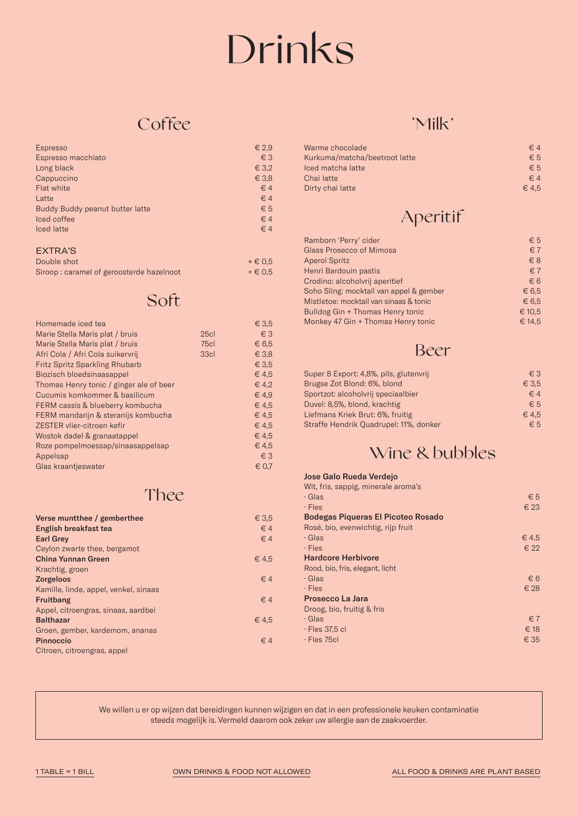# Drinks

### **Coffee**

| Espresso                        | € 2,9          |
|---------------------------------|----------------|
| Espresso macchiato              | $\epsilon$ 3   |
| Long black                      | $\epsilon$ 3.2 |
| Cappuccino                      | $\epsilon$ 3.8 |
| Flat white                      | $\in$ 4        |
| Latte                           | $\in$ 4        |
| Buddy Buddy peanut butter latte | $\epsilon$ 5   |
| Iced coffee                     | $\in$ 4        |
| Iced latte                      | $\in$ 4        |
|                                 |                |
|                                 |                |

#### EXTRA'S

| Double shot                              | $+ \in 0.5$ |
|------------------------------------------|-------------|
| Siroop: caramel of geroosterde hazelnoot | $+ \in 0.5$ |

### Soft

| Homemade iced tea                       |      | € 3,5          |
|-----------------------------------------|------|----------------|
| Marie Stella Maris plat / bruis         | 25c1 | $\epsilon$ 3   |
| Marie Stella Maris plat / bruis         | 75c1 | $\epsilon$ 6.5 |
| Afri Cola / Afri Cola suikervrij        | 33cl | € 3,8          |
| <b>Fritz Spritz Sparkling Rhubarb</b>   |      | € 3,5          |
| Biozisch bloedsinaasappel               |      | € 4,5          |
| Thomas Henry tonic / ginger ale of beer |      | $\in$ 4.2      |
| Cucumis komkommer & basilicum           |      | € 4,9          |
| FERM cassis & blueberry kombucha        |      | € 4,5          |
| FERM mandarijn & steranijs kombucha     |      | € 4,5          |
| ZESTER vlier-citroen kefir              |      | € 4,5          |
| Wostok dadel & granaatappel             |      | € 4,5          |
| Roze pompelmoessap/sinaasappelsap       |      | € 4,5          |
| Appelsap                                |      | $\epsilon$ 3   |
| Glas kraantjeswater                     |      | € 0.7          |

### Thee

| Verse muntthee / gemberthee           | € 3,5     |
|---------------------------------------|-----------|
| English breakfast tea                 | $\in$ 4   |
| <b>Earl Grey</b>                      | $\in$ 4   |
| Ceylon zwarte thee, bergamot          |           |
| <b>China Yunnan Green</b>             | $\in$ 4.5 |
| Krachtig, groen                       |           |
| <b>Zorgeloos</b>                      | $\in$ 4   |
| Kamille, linde, appel, venkel, sinaas |           |
| Fruitbang                             | $\in$ 4   |
| Appel, citroengras, sinaas, aardbei   |           |
| <b>Balthazar</b>                      | € 4.5     |
| Groen, gember, kardemom, ananas       |           |
| <b>Pinnoccio</b>                      | $\in$ 4   |
| Citroen, citroengras, appel           |           |

### 'Milk'

| Warme chocolade               | $\in$ 4        |
|-------------------------------|----------------|
| Kurkuma/matcha/beetroot latte | $\epsilon$ 5   |
| Iced matcha latte             | $\epsilon$ 5   |
| Chai latte                    | $\epsilon$ 4   |
| Dirty chai latte              | $\epsilon$ 4.5 |

## Aperitif

| Ramborn 'Perry' cider                   | $\epsilon$ 5   |
|-----------------------------------------|----------------|
| Glass Prosecco of Mimosa                | $\epsilon$ 7   |
| <b>Aperol Spritz</b>                    | $\epsilon$ 8   |
| Henri Bardouin pastis                   | $\epsilon$ 7   |
| Crodino: alcoholvrij aperitief          | $\epsilon$ 6   |
| Soho Sling: mocktail van appel & gember | $\epsilon$ 6.5 |
| Mistletoe: mocktail van sinaas & tonic  | $\epsilon$ 6.5 |
| Bulldog Gin + Thomas Henry tonic        | € 10,5         |
| Monkey 47 Gin + Thomas Henry tonic      | € 14.5         |

### Beer

| Super 8 Export: 4,8%, pils, glutenvrij | $\epsilon$ 3 |
|----------------------------------------|--------------|
| Brugse Zot Blond: 6%, blond            | $\in$ 3.5    |
| Sportzot: alcoholvrij speciaalbier     | $\in$ 4      |
| Duvel: 8,5%, blond, krachtig           | $\epsilon$ 5 |
| Liefmans Kriek Brut: 6%, fruitig       | € 4.5        |
| Straffe Hendrik Quadrupel: 11%, donker | $\epsilon$ 5 |

### Wine & bubbles

#### Jose Galo Rueda Verdejo

| Wit, fris, sappig, minerale aroma's       |              |
|-------------------------------------------|--------------|
| · Glas                                    | $\epsilon$ 5 |
| $\cdot$ Fles                              | $\in$ 23     |
| <b>Bodegas Piqueras El Picoteo Rosado</b> |              |
| Rosé, bio, evenwichtig, rijp fruit        |              |
| · Glas                                    | € 4.5        |
| $\cdot$ Fles                              | $\in$ 22     |
| <b>Hardcore Herbivore</b>                 |              |
| Rood, bio, fris, elegant, licht           |              |
| · Glas                                    | $\epsilon$ 6 |
| $\cdot$ Fles                              | € 28         |
| Prosecco La Jara                          |              |
| Droog, bio, fruitig & fris                |              |
| · Glas                                    | $\epsilon$ 7 |
| $\cdot$ Fles 37.5 cl                      | € 18         |
| · Fles 75cl                               | € 35         |

We willen u er op wijzen dat bereidingen kunnen wijzigen en dat in een professionele keuken contaminatie steeds mogelijk is. Vermeld daarom ook zeker uw allergie aan de zaakvoerder.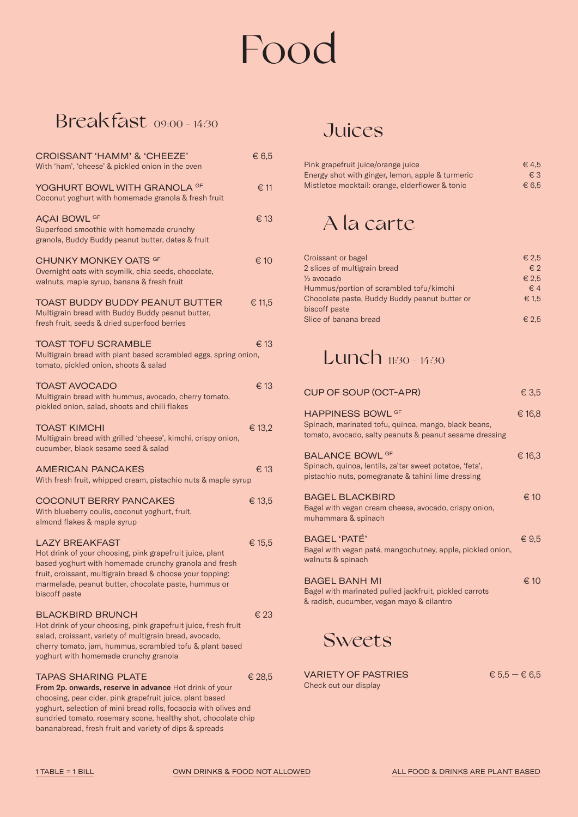# Food

## Breakfast 09:00 - 14:30

| <b>CROISSANT 'HAMM' &amp; 'CHEEZE'</b><br>With 'ham', 'cheese' & pickled onion in the oven                                                                                                                                                                                                                                                      | € 6,5    |
|-------------------------------------------------------------------------------------------------------------------------------------------------------------------------------------------------------------------------------------------------------------------------------------------------------------------------------------------------|----------|
| YOGHURT BOWL WITH GRANOLA GF<br>Coconut yoghurt with homemade granola & fresh fruit                                                                                                                                                                                                                                                             | € 11     |
| <b>AÇAI BOWL GF</b><br>Superfood smoothie with homemade crunchy<br>granola, Buddy Buddy peanut butter, dates & fruit                                                                                                                                                                                                                            | € 13     |
| CHUNKY MONKEY OATS <sup>GF</sup><br>Overnight oats with soymilk, chia seeds, chocolate,<br>walnuts, maple syrup, banana & fresh fruit                                                                                                                                                                                                           | € 10     |
| <b>TOAST BUDDY BUDDY PEANUT BUTTER</b><br>Multigrain bread with Buddy Buddy peanut butter,<br>fresh fruit, seeds & dried superfood berries                                                                                                                                                                                                      | € 11,5   |
| <b>TOAST TOFU SCRAMBLE</b><br>Multigrain bread with plant based scrambled eggs, spring onion,<br>tomato, pickled onion, shoots & salad                                                                                                                                                                                                          | € 13     |
| <b>TOAST AVOCADO</b><br>Multigrain bread with hummus, avocado, cherry tomato,<br>pickled onion, salad, shoots and chili flakes                                                                                                                                                                                                                  | € 13     |
| <b>TOAST KIMCHI</b><br>Multigrain bread with grilled 'cheese', kimchi, crispy onion,<br>cucumber, black sesame seed & salad                                                                                                                                                                                                                     | € 13,2   |
| <b>AMERICAN PANCAKES</b><br>With fresh fruit, whipped cream, pistachio nuts & maple syrup                                                                                                                                                                                                                                                       | € 13     |
| <b>COCONUT BERRY PANCAKES</b><br>With blueberry coulis, coconut yoghurt, fruit,<br>almond flakes & maple syrup                                                                                                                                                                                                                                  | € 13,5   |
| <b>LAZY BREAKFAST</b><br>Hot drink of your choosing, pink grapefruit juice, plant<br>based yoghurt with homemade crunchy granola and fresh<br>fruit, croissant, multigrain bread & choose your topping:<br>marmelade, peanut butter, chocolate paste, hummus or<br>biscoff paste                                                                | € 15,5   |
| <b>BLACKBIRD BRUNCH</b><br>Hot drink of your choosing, pink grapefruit juice, fresh fruit<br>salad, croissant, variety of multigrain bread, avocado,<br>cherry tomato, jam, hummus, scrambled tofu & plant based<br>yoghurt with homemade crunchy granola                                                                                       | $\in$ 23 |
| <b>TAPAS SHARING PLATE</b><br>From 2p. onwards, reserve in advance Hot drink of your<br>choosing, pear cider, pink grapefruit juice, plant based<br>yoghurt, selection of mini bread rolls, focaccia with olives and<br>sundried tomato, rosemary scone, healthy shot, chocolate chip<br>bananabread, fresh fruit and variety of dips & spreads | € 28.5   |

## **Juices**

| Pink grapefruit juice/orange juice               | € 4.5          |
|--------------------------------------------------|----------------|
| Energy shot with ginger, lemon, apple & turmeric | $\epsilon$ 3   |
| Mistletoe mocktail: orange, elderflower & tonic  | $\epsilon$ 6.5 |

## A la carte

| Croissant or bagel                            | € 2.5          |
|-----------------------------------------------|----------------|
| 2 slices of multigrain bread                  | $\epsilon$ 2   |
| 1/ <sub>2</sub> avocado                       | € 2.5          |
| Hummus/portion of scrambled tofu/kimchi       | $\epsilon$ 4   |
| Chocolate paste, Buddy Buddy peanut butter or | € 1.5          |
| biscoff paste                                 |                |
| Slice of banana bread                         | $\epsilon$ 2.5 |

## Lunch 11:30 - 14:30

| <b>CUP OF SOUP (OCT-APR)</b>                                                                                                                | € 3,5         |
|---------------------------------------------------------------------------------------------------------------------------------------------|---------------|
| <b>HAPPINESS BOWL GF</b><br>Spinach, marinated tofu, quinoa, mango, black beans,<br>tomato, avocado, salty peanuts & peanut sesame dressing | € 16,8        |
| <b>BALANCE BOWL GF</b><br>Spinach, quinoa, lentils, za'tar sweet potatoe, 'feta',<br>pistachio nuts, pomegranate & tahini lime dressing     | € 16,3        |
| <b>BAGEL BLACKBIRD</b><br>Bagel with vegan cream cheese, avocado, crispy onion,<br>muhammara & spinach                                      | $\epsilon$ 10 |
| BAGEL 'PATÉ'<br>Bagel with vegan paté, mangochutney, apple, pickled onion,<br>walnuts & spinach                                             | €9.5          |
| BAGEL BANH MI<br>Bagel with marinated pulled jackfruit, pickled carrots<br>& radish, cucumber, vegan mayo & cilantro                        | $\epsilon$ 10 |

Sweets

VARIETY OF PASTRIES  $6.5 - 6.5$ Check out our display